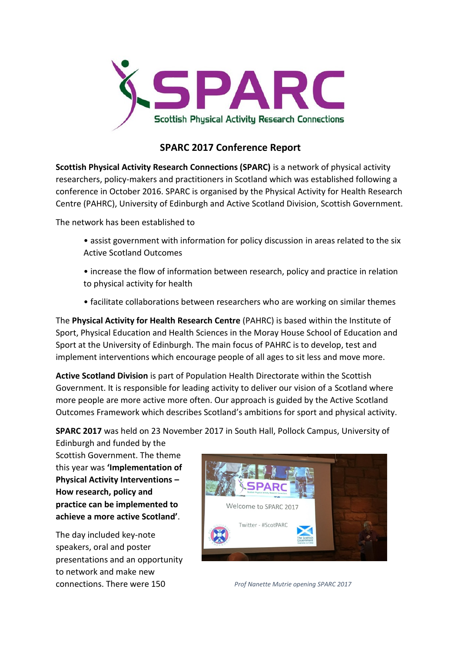

# **SPARC 2017 Conference Report**

**Scottish Physical Activity Research Connections (SPARC)** is a network of physical activity researchers, policy-makers and practitioners in Scotland which was established following a conference in October 2016. SPARC is organised by the Physical Activity for Health Research Centre (PAHRC), University of Edinburgh and Active Scotland Division, Scottish Government.

The network has been established to

- assist government with information for policy discussion in areas related to the six Active Scotland Outcomes
- increase the flow of information between research, policy and practice in relation to physical activity for health
- facilitate collaborations between researchers who are working on similar themes

The **Physical Activity for Health Research Centre** (PAHRC) is based within the Institute of Sport, Physical Education and Health Sciences in the Moray House School of Education and Sport at the University of Edinburgh. The main focus of PAHRC is to develop, test and implement interventions which encourage people of all ages to sit less and move more.

**Active Scotland Division** is part of Population Health Directorate within the Scottish Government. It is responsible for leading activity to deliver our vision of a Scotland where more people are more active more often. Our approach is guided by the Active Scotland Outcomes Framework which describes Scotland's ambitions for sport and physical activity.

**SPARC 2017** was held on 23 November 2017 in South Hall, Pollock Campus, University of

Edinburgh and funded by the Scottish Government. The theme this year was **'Implementation of Physical Activity Interventions – How research, policy and practice can be implemented to achieve a more active Scotland'**.

The day included key-note speakers, oral and poster presentations and an opportunity to network and make new connections. There were 150 *Prof Nanette Mutrie opening SPARC 2017*

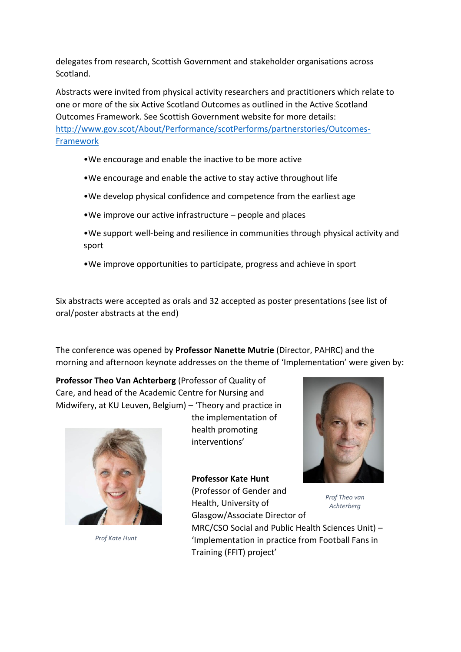delegates from research, Scottish Government and stakeholder organisations across Scotland.

Abstracts were invited from physical activity researchers and practitioners which relate to one or more of the six Active Scotland Outcomes as outlined in the Active Scotland Outcomes Framework. See Scottish Government website for more details: [http://www.gov.scot/About/Performance/scotPerforms/partnerstories/Outcomes-](http://www.gov.scot/About/Performance/scotPerforms/partnerstories/Outcomes-Framework)[Framework](http://www.gov.scot/About/Performance/scotPerforms/partnerstories/Outcomes-Framework)

- •We encourage and enable the inactive to be more active
- •We encourage and enable the active to stay active throughout life
- •We develop physical confidence and competence from the earliest age
- •We improve our active infrastructure people and places
- •We support well-being and resilience in communities through physical activity and sport
- •We improve opportunities to participate, progress and achieve in sport

Six abstracts were accepted as orals and 32 accepted as poster presentations (see list of oral/poster abstracts at the end)

The conference was opened by **Professor Nanette Mutrie** (Director, PAHRC) and the morning and afternoon keynote addresses on the theme of 'Implementation' were given by:

**Professor Theo Van Achterberg** (Professor of Quality of Care, and head of the Academic Centre for Nursing and Midwifery, at KU Leuven, Belgium) – 'Theory and practice in



*Prof Kate Hunt*

the implementation of health promoting interventions'

**Professor Kate Hunt** (Professor of Gender and Health, University of Glasgow/Associate Director of MRC/CSO Social and Public Health Sciences Unit) – 'Implementation in practice from Football Fans in Training (FFIT) project' *Prof Theo van Achterberg*

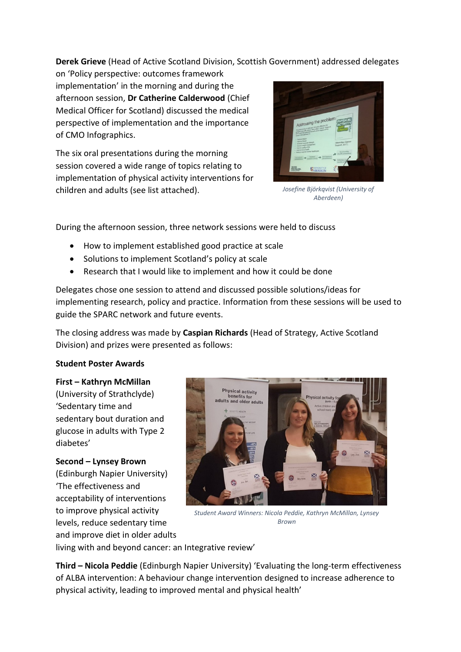**Derek Grieve** (Head of Active Scotland Division, Scottish Government) addressed delegates

on 'Policy perspective: outcomes framework implementation' in the morning and during the afternoon session, **Dr Catherine Calderwood** (Chief Medical Officer for Scotland) discussed the medical perspective of implementation and the importance of CMO Infographics.

The six oral presentations during the morning session covered a wide range of topics relating to implementation of physical activity interventions for children and adults (see list attached).



*Josefine Björkqvist (University of Aberdeen)*

During the afternoon session, three network sessions were held to discuss

- How to implement established good practice at scale
- Solutions to implement Scotland's policy at scale
- Research that I would like to implement and how it could be done

Delegates chose one session to attend and discussed possible solutions/ideas for implementing research, policy and practice. Information from these sessions will be used to guide the SPARC network and future events.

The closing address was made by **Caspian Richards** (Head of Strategy, Active Scotland Division) and prizes were presented as follows:

# **Student Poster Awards**

**First – Kathryn McMillan** (University of Strathclyde) 'Sedentary time and sedentary bout duration and glucose in adults with Type 2 diabetes'

**Second – Lynsey Brown** (Edinburgh Napier University) 'The effectiveness and acceptability of interventions to improve physical activity levels, reduce sedentary time and improve diet in older adults



*Student Award Winners: Nicola Peddie, Kathryn McMillan, Lynsey Brown*

living with and beyond cancer: an Integrative review'

**Third – Nicola Peddie** (Edinburgh Napier University) 'Evaluating the long-term effectiveness of ALBA intervention: A behaviour change intervention designed to increase adherence to physical activity, leading to improved mental and physical health'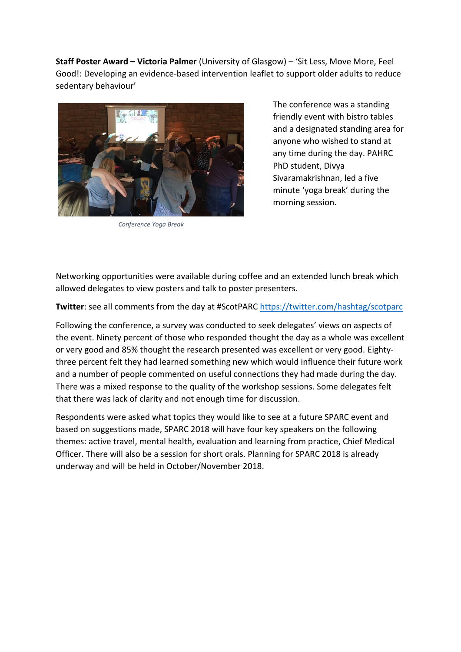**Staff Poster Award – Victoria Palmer** (University of Glasgow) – 'Sit Less, Move More, Feel Good!: Developing an evidence-based intervention leaflet to support older adults to reduce sedentary behaviour'



*Conference Yoga Break*

The conference was a standing friendly event with bistro tables and a designated standing area for anyone who wished to stand at any time during the day. PAHRC PhD student, Divya Sivaramakrishnan, led a five minute 'yoga break' during the morning session.

Networking opportunities were available during coffee and an extended lunch break which allowed delegates to view posters and talk to poster presenters.

**Twitter**: see all comments from the day at #ScotPARC<https://twitter.com/hashtag/scotparc>

Following the conference, a survey was conducted to seek delegates' views on aspects of the event. Ninety percent of those who responded thought the day as a whole was excellent or very good and 85% thought the research presented was excellent or very good. Eightythree percent felt they had learned something new which would influence their future work and a number of people commented on useful connections they had made during the day. There was a mixed response to the quality of the workshop sessions. Some delegates felt that there was lack of clarity and not enough time for discussion.

Respondents were asked what topics they would like to see at a future SPARC event and based on suggestions made, SPARC 2018 will have four key speakers on the following themes: active travel, mental health, evaluation and learning from practice, Chief Medical Officer. There will also be a session for short orals. Planning for SPARC 2018 is already underway and will be held in October/November 2018.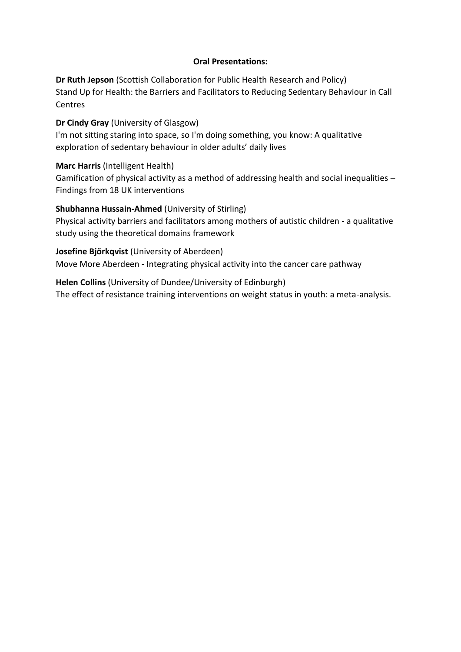### **Oral Presentations:**

**Dr Ruth Jepson** (Scottish Collaboration for Public Health Research and Policy) Stand Up for Health: the Barriers and Facilitators to Reducing Sedentary Behaviour in Call **Centres** 

**Dr Cindy Gray** (University of Glasgow)

I'm not sitting staring into space, so I'm doing something, you know: A qualitative exploration of sedentary behaviour in older adults' daily lives

### **Marc Harris** (Intelligent Health)

Gamification of physical activity as a method of addressing health and social inequalities – Findings from 18 UK interventions

# **Shubhanna Hussain-Ahmed** (University of Stirling)

Physical activity barriers and facilitators among mothers of autistic children - a qualitative study using the theoretical domains framework

#### **Josefine Björkqvist** (University of Aberdeen)

Move More Aberdeen - Integrating physical activity into the cancer care pathway

**Helen Collins** (University of Dundee/University of Edinburgh) The effect of resistance training interventions on weight status in youth: a meta-analysis.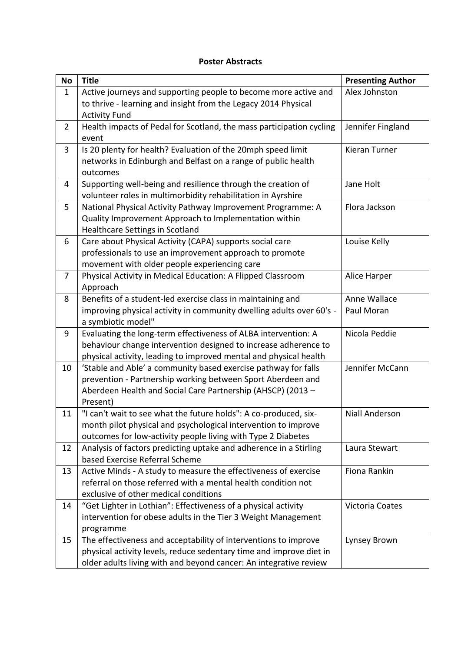#### **Poster Abstracts**

| <b>No</b>      | <b>Title</b>                                                            | <b>Presenting Author</b> |
|----------------|-------------------------------------------------------------------------|--------------------------|
| $\mathbf{1}$   | Active journeys and supporting people to become more active and         | Alex Johnston            |
|                | to thrive - learning and insight from the Legacy 2014 Physical          |                          |
|                | <b>Activity Fund</b>                                                    |                          |
| $\overline{2}$ | Health impacts of Pedal for Scotland, the mass participation cycling    | Jennifer Fingland        |
|                | event                                                                   |                          |
| 3              | Is 20 plenty for health? Evaluation of the 20mph speed limit            | <b>Kieran Turner</b>     |
|                | networks in Edinburgh and Belfast on a range of public health           |                          |
|                | outcomes                                                                |                          |
| 4              | Supporting well-being and resilience through the creation of            | Jane Holt                |
|                | volunteer roles in multimorbidity rehabilitation in Ayrshire            |                          |
| 5              | National Physical Activity Pathway Improvement Programme: A             | Flora Jackson            |
|                | Quality Improvement Approach to Implementation within                   |                          |
|                | Healthcare Settings in Scotland                                         |                          |
| 6              | Care about Physical Activity (CAPA) supports social care                | Louise Kelly             |
|                | professionals to use an improvement approach to promote                 |                          |
| $\overline{7}$ | movement with older people experiencing care                            |                          |
|                | Physical Activity in Medical Education: A Flipped Classroom<br>Approach | Alice Harper             |
| 8              | Benefits of a student-led exercise class in maintaining and             | Anne Wallace             |
|                | improving physical activity in community dwelling adults over 60's -    | Paul Moran               |
|                | a symbiotic model"                                                      |                          |
| 9              | Evaluating the long-term effectiveness of ALBA intervention: A          | Nicola Peddie            |
|                | behaviour change intervention designed to increase adherence to         |                          |
|                | physical activity, leading to improved mental and physical health       |                          |
| 10             | 'Stable and Able' a community based exercise pathway for falls          | Jennifer McCann          |
|                | prevention - Partnership working between Sport Aberdeen and             |                          |
|                | Aberdeen Health and Social Care Partnership (AHSCP) (2013 -             |                          |
|                | Present)                                                                |                          |
| 11             | "I can't wait to see what the future holds": A co-produced, six-        | <b>Niall Anderson</b>    |
|                | month pilot physical and psychological intervention to improve          |                          |
|                | outcomes for low-activity people living with Type 2 Diabetes            |                          |
| 12             | Analysis of factors predicting uptake and adherence in a Stirling       | Laura Stewart            |
|                | based Exercise Referral Scheme                                          |                          |
| 13             | Active Minds - A study to measure the effectiveness of exercise         | Fiona Rankin             |
|                | referral on those referred with a mental health condition not           |                          |
|                | exclusive of other medical conditions                                   |                          |
| 14             | "Get Lighter in Lothian": Effectiveness of a physical activity          | Victoria Coates          |
|                | intervention for obese adults in the Tier 3 Weight Management           |                          |
|                | programme                                                               |                          |
| 15             | The effectiveness and acceptability of interventions to improve         | Lynsey Brown             |
|                | physical activity levels, reduce sedentary time and improve diet in     |                          |
|                | older adults living with and beyond cancer: An integrative review       |                          |